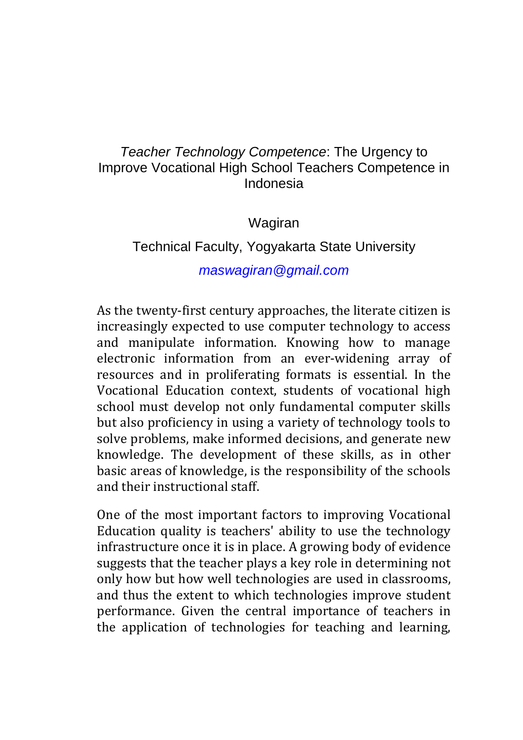## Teacher Technology Competence: The Urgency to Improve Vocational High School Teachers Competence in Indonesia

Wagiran

## Technical Faculty, Yogyakarta State University

## maswagiran@gmail.com

As the twenty-first century approaches, the literate citizen is increasingly expected to use computer technology to access and manipulate information. Knowing how to manage electronic information from an ever-widening array of resources and in proliferating formats is essential. In the Vocational Education context, students of vocational high school must develop not only fundamental computer skills but also proficiency in using a variety of technology tools to solve problems, make informed decisions, and generate new knowledge. The development of these skills, as in other basic areas of knowledge, is the responsibility of the schools and their instructional staff.

One of the most important factors to improving Vocational Education quality is teachers' ability to use the technology infrastructure once it is in place. A growing body of evidence suggests that the teacher plays a key role in determining not only how but how well technologies are used in classrooms, and thus the extent to which technologies improve student performance. Given the central importance of teachers in the application of technologies for teaching and learning,